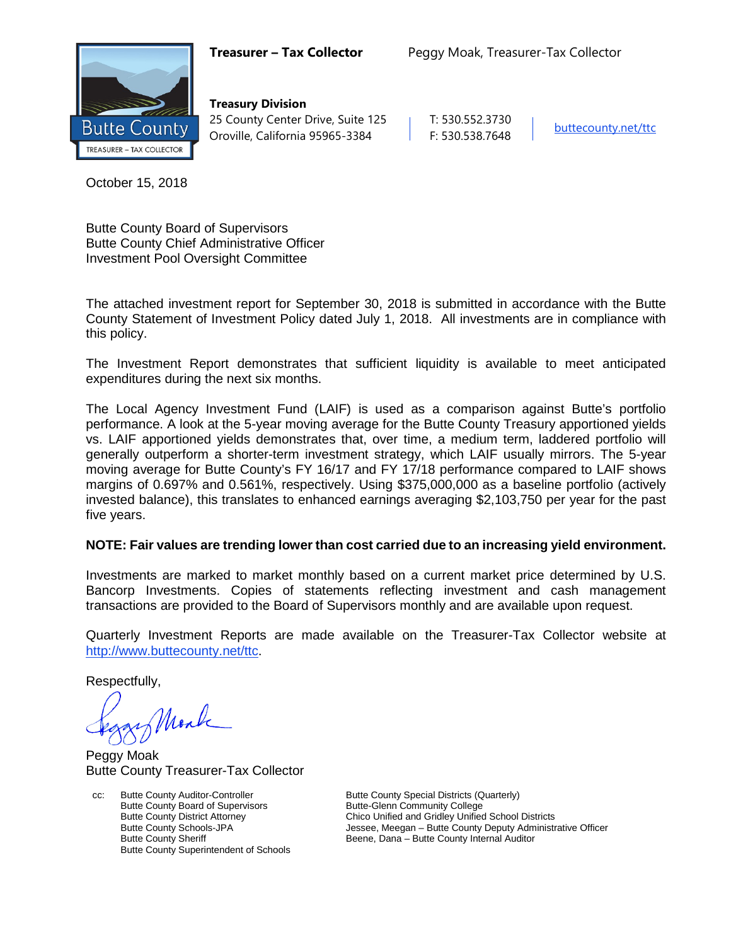

**Treasury Division** 25 County Center Drive, Suite 125 | T: 530.552.3730 Oroville, California 95965-3384 F: 530.538.7648 [buttecounty.net/t](http://www.buttecounty.net/administration)tc

October 15, 2018

Butte County Board of Supervisors Butte County Chief Administrative Officer Investment Pool Oversight Committee

The attached investment report for September 30, 2018 is submitted in accordance with the Butte County Statement of Investment Policy dated July 1, 2018. All investments are in compliance with this policy.

The Investment Report demonstrates that sufficient liquidity is available to meet anticipated expenditures during the next six months.

The Local Agency Investment Fund (LAIF) is used as a comparison against Butte's portfolio performance. A look at the 5-year moving average for the Butte County Treasury apportioned yields vs. LAIF apportioned yields demonstrates that, over time, a medium term, laddered portfolio will generally outperform a shorter-term investment strategy, which LAIF usually mirrors. The 5-year moving average for Butte County's FY 16/17 and FY 17/18 performance compared to LAIF shows margins of 0.697% and 0.561%, respectively. Using \$375,000,000 as a baseline portfolio (actively invested balance), this translates to enhanced earnings averaging \$2,103,750 per year for the past five years.

## **NOTE: Fair values are trending lower than cost carried due to an increasing yield environment.**

Investments are marked to market monthly based on a current market price determined by U.S. Bancorp Investments. Copies of statements reflecting investment and cash management transactions are provided to the Board of Supervisors monthly and are available upon request.

Quarterly Investment Reports are made available on the Treasurer-Tax Collector website at <http://www.buttecounty.net/ttc>.

Respectfully,

Mark

Peggy Moak Butte County Treasurer-Tax Collector

cc: Butte County Auditor-Controller Butte County Special Districts (Quarterly)<br>Butte County Board of Supervisors Butte-Glenn Community College Butte County Board of Supervisors<br>Butte-County District Attorney Butte County Superintendent of Schools

Butte County District Attorney Chico Unified and Gridley Unified School Districts<br>Butte County Schools-JPA School Districts Jessee, Meegan – Butte County Deputy Administr Butte County Schools-JPA **Jessee, Meegan – Butte County Deputy Administrative Officer**<br>Butte County Sheriff **Butte County Internal Auditor** Beene, Dana – Butte County Internal Auditor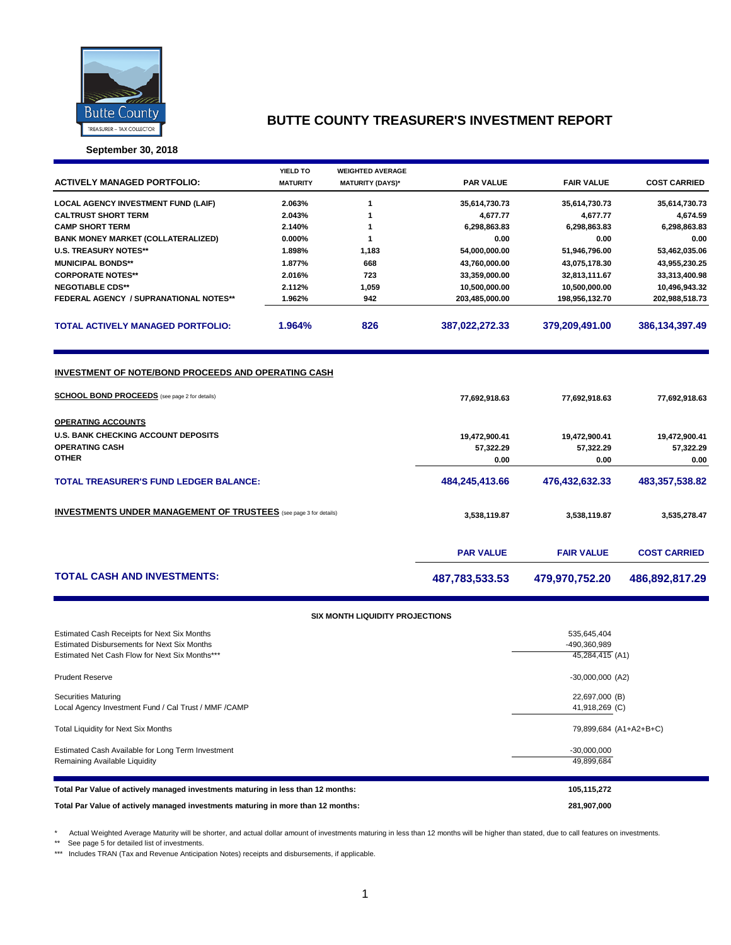

**September 30, 2018**

|                                                                          | YIELD TO        | <b>WEIGHTED AVERAGE</b> |                  |                   |                     |  |  |  |  |
|--------------------------------------------------------------------------|-----------------|-------------------------|------------------|-------------------|---------------------|--|--|--|--|
| <b>ACTIVELY MANAGED PORTFOLIO:</b>                                       | <b>MATURITY</b> | <b>MATURITY (DAYS)*</b> | <b>PAR VALUE</b> | <b>FAIR VALUE</b> | <b>COST CARRIED</b> |  |  |  |  |
| <b>LOCAL AGENCY INVESTMENT FUND (LAIF)</b>                               | 2.063%          | 1                       | 35,614,730.73    | 35,614,730.73     | 35,614,730.73       |  |  |  |  |
| <b>CALTRUST SHORT TERM</b>                                               | 2.043%          | 1                       | 4,677.77         | 4,677.77          | 4,674.59            |  |  |  |  |
| <b>CAMP SHORT TERM</b>                                                   | 2.140%          | $\mathbf{1}$            | 6,298,863.83     | 6,298,863.83      | 6,298,863.83        |  |  |  |  |
| <b>BANK MONEY MARKET (COLLATERALIZED)</b>                                | $0.000\%$       | $\mathbf{1}$            | 0.00             | 0.00              | 0.00                |  |  |  |  |
| <b>U.S. TREASURY NOTES**</b>                                             | 1.898%          | 1,183                   | 54,000,000.00    | 51,946,796.00     | 53,462,035.06       |  |  |  |  |
| <b>MUNICIPAL BONDS**</b>                                                 | 1.877%          | 668                     | 43,760,000.00    | 43,075,178.30     | 43,955,230.25       |  |  |  |  |
| <b>CORPORATE NOTES**</b>                                                 | 2.016%          | 723                     | 33,359,000.00    | 32,813,111.67     | 33,313,400.98       |  |  |  |  |
| <b>NEGOTIABLE CDS**</b>                                                  | 2.112%          | 1,059                   | 10,500,000.00    | 10,500,000.00     | 10,496,943.32       |  |  |  |  |
| FEDERAL AGENCY / SUPRANATIONAL NOTES**                                   | 1.962%          | 942                     | 203,485,000.00   | 198,956,132.70    | 202,988,518.73      |  |  |  |  |
| <b>TOTAL ACTIVELY MANAGED PORTFOLIO:</b>                                 | 1.964%          | 826                     | 387,022,272.33   | 379,209,491.00    | 386,134,397.49      |  |  |  |  |
| <b>SCHOOL BOND PROCEEDS</b> (see page 2 for details)                     |                 |                         | 77,692,918.63    | 77,692,918.63     | 77,692,918.63       |  |  |  |  |
| <b>OPERATING ACCOUNTS</b>                                                |                 |                         |                  |                   |                     |  |  |  |  |
| <b>U.S. BANK CHECKING ACCOUNT DEPOSITS</b>                               |                 |                         | 19,472,900.41    | 19,472,900.41     | 19,472,900.41       |  |  |  |  |
| <b>OPERATING CASH</b>                                                    |                 |                         | 57,322.29        | 57,322.29         | 57,322.29           |  |  |  |  |
| <b>OTHER</b>                                                             |                 |                         | 0.00             | 0.00              | 0.00                |  |  |  |  |
| <b>TOTAL TREASURER'S FUND LEDGER BALANCE:</b>                            |                 |                         | 484,245,413.66   | 476,432,632.33    | 483,357,538.82      |  |  |  |  |
| <b>INVESTMENTS UNDER MANAGEMENT OF TRUSTEES</b> (see page 3 for details) |                 |                         | 3,538,119.87     | 3,538,119.87      | 3,535,278.47        |  |  |  |  |
|                                                                          |                 |                         | <b>PAR VALUE</b> | <b>FAIR VALUE</b> | <b>COST CARRIED</b> |  |  |  |  |
| <b>TOTAL CASH AND INVESTMENTS:</b>                                       |                 |                         | 487,783,533.53   | 479,970,752.20    | 486,892,817.29      |  |  |  |  |
|                                                                          |                 |                         |                  |                   |                     |  |  |  |  |

#### **SIX MONTH LIQUIDITY PROJECTIONS**

| Estimated Cash Receipts for Next Six Months<br><b>Estimated Disbursements for Next Six Months</b><br>Estimated Net Cash Flow for Next Six Months*** | 535,645,404<br>-490,360,989<br>45,284,415 (A1) |
|-----------------------------------------------------------------------------------------------------------------------------------------------------|------------------------------------------------|
| <b>Prudent Reserve</b>                                                                                                                              | $-30,000,000$ (A2)                             |
| <b>Securities Maturing</b><br>Local Agency Investment Fund / Cal Trust / MMF / CAMP                                                                 | 22,697,000 (B)<br>41,918,269 (C)               |
| Total Liquidity for Next Six Months                                                                                                                 | 79,899,684 (A1+A2+B+C)                         |
| Estimated Cash Available for Long Term Investment<br>Remaining Available Liquidity                                                                  | $-30,000,000$<br>49.899.684                    |
| Total Par Value of actively managed investments maturing in less than 12 months:                                                                    | 105,115,272                                    |
| Total Par Value of actively managed investments maturing in more than 12 months:                                                                    | 281,907,000                                    |

\* Actual Weighted Average Maturity will be shorter, and actual dollar amount of investments maturing in less than 12 months will be higher than stated, due to call features on investments.

\*\* See page 5 for detailed list of investments.

\*\*\* Includes TRAN (Tax and Revenue Anticipation Notes) receipts and disbursements, if applicable.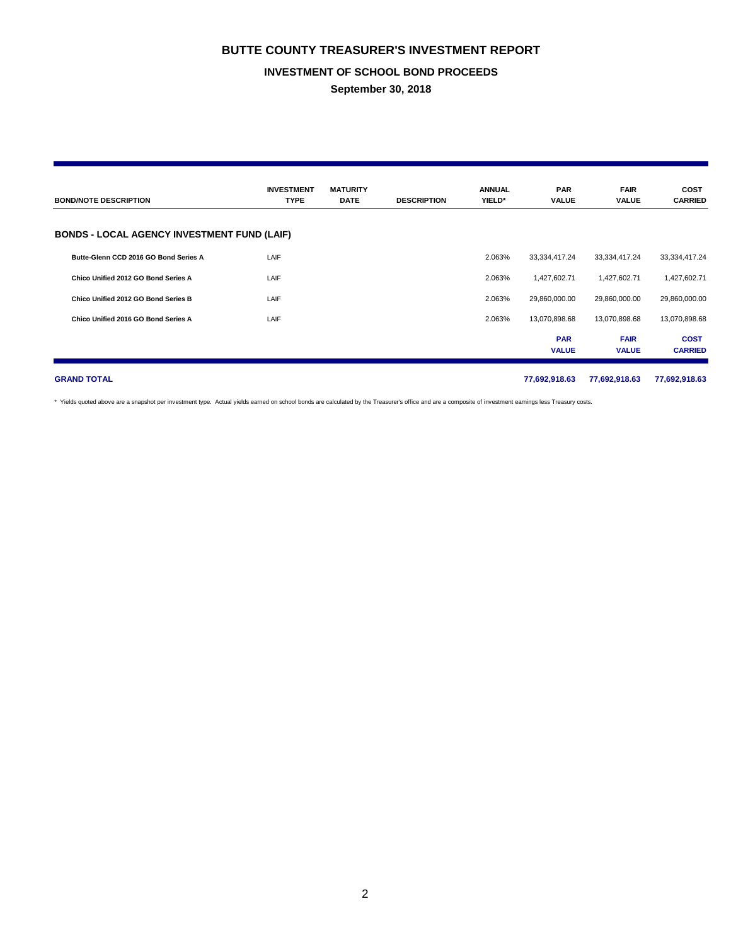#### **INVESTMENT OF SCHOOL BOND PROCEEDS**

**September 30, 2018**

| <b>BOND/NOTE DESCRIPTION</b>                       | <b>INVESTMENT</b><br><b>TYPE</b> | <b>MATURITY</b><br><b>DATE</b> | <b>DESCRIPTION</b> | <b>ANNUAL</b><br>YIELD* | <b>PAR</b><br>VALUE        | <b>FAIR</b><br><b>VALUE</b> | <b>COST</b><br><b>CARRIED</b> |
|----------------------------------------------------|----------------------------------|--------------------------------|--------------------|-------------------------|----------------------------|-----------------------------|-------------------------------|
| <b>BONDS - LOCAL AGENCY INVESTMENT FUND (LAIF)</b> |                                  |                                |                    |                         |                            |                             |                               |
| Butte-Glenn CCD 2016 GO Bond Series A              | LAIF                             |                                |                    | 2.063%                  | 33,334,417.24              | 33,334,417.24               | 33,334,417.24                 |
| Chico Unified 2012 GO Bond Series A                | LAIF                             |                                |                    | 2.063%                  | 1,427,602.71               | 1,427,602.71                | 1,427,602.71                  |
| Chico Unified 2012 GO Bond Series B                | LAIF                             |                                |                    | 2.063%                  | 29,860,000.00              | 29,860,000.00               | 29,860,000.00                 |
| Chico Unified 2016 GO Bond Series A                | LAIF                             |                                |                    | 2.063%                  | 13,070,898.68              | 13,070,898.68               | 13,070,898.68                 |
|                                                    |                                  |                                |                    |                         | <b>PAR</b><br><b>VALUE</b> | <b>FAIR</b><br><b>VALUE</b> | <b>COST</b><br><b>CARRIED</b> |
| <b>GRAND TOTAL</b>                                 |                                  |                                |                    |                         | 77,692,918.63              | 77,692,918.63               | 77,692,918.63                 |

\* Yields quoted above are a snapshot per investment type. Actual yields earned on school bonds are calculated by the Treasurer's office and are a composite of investment earnings less Treasury costs.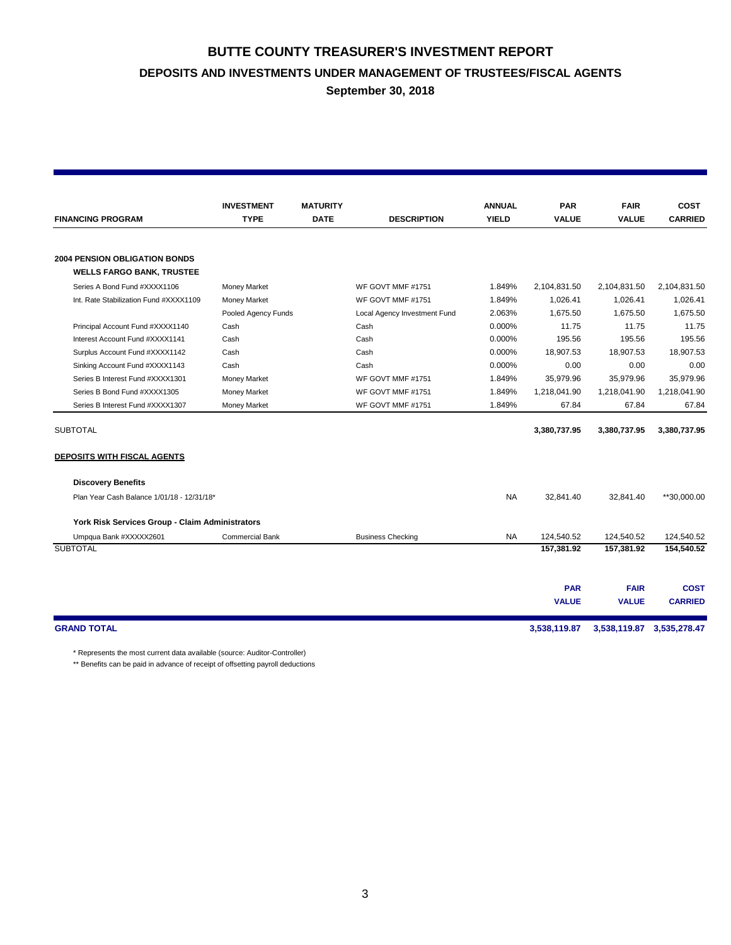**BUTTE COUNTY TREASURER'S INVESTMENT REPORT DEPOSITS AND INVESTMENTS UNDER MANAGEMENT OF TRUSTEES/FISCAL AGENTS**

**September 30, 2018**

|                                                 | <b>INVESTMENT</b>      | <b>MATURITY</b> |                              | <b>ANNUAL</b> | <b>PAR</b>   | <b>FAIR</b>               | <b>COST</b>    |
|-------------------------------------------------|------------------------|-----------------|------------------------------|---------------|--------------|---------------------------|----------------|
| <b>FINANCING PROGRAM</b>                        | <b>TYPE</b>            | <b>DATE</b>     | <b>DESCRIPTION</b>           | <b>YIELD</b>  | <b>VALUE</b> | <b>VALUE</b>              | <b>CARRIED</b> |
|                                                 |                        |                 |                              |               |              |                           |                |
| <b>2004 PENSION OBLIGATION BONDS</b>            |                        |                 |                              |               |              |                           |                |
| <b>WELLS FARGO BANK, TRUSTEE</b>                |                        |                 |                              |               |              |                           |                |
| Series A Bond Fund #XXXX1106                    | <b>Money Market</b>    |                 | WF GOVT MMF #1751            | 1.849%        | 2,104,831.50 | 2,104,831.50              | 2,104,831.50   |
| Int. Rate Stabilization Fund #XXXX1109          | Money Market           |                 | WF GOVT MMF #1751            | 1.849%        | 1,026.41     | 1,026.41                  | 1,026.41       |
|                                                 | Pooled Agency Funds    |                 | Local Agency Investment Fund | 2.063%        | 1,675.50     | 1,675.50                  | 1,675.50       |
| Principal Account Fund #XXXX1140                | Cash                   |                 | Cash                         | 0.000%        | 11.75        | 11.75                     | 11.75          |
| Interest Account Fund #XXXX1141                 | Cash                   |                 | Cash                         | 0.000%        | 195.56       | 195.56                    | 195.56         |
| Surplus Account Fund #XXXX1142                  | Cash                   |                 | Cash                         | 0.000%        | 18,907.53    | 18,907.53                 | 18,907.53      |
| Sinking Account Fund #XXXX1143                  | Cash                   |                 | Cash                         | 0.000%        | 0.00         | 0.00                      | 0.00           |
| Series B Interest Fund #XXXX1301                | <b>Money Market</b>    |                 | WF GOVT MMF #1751            | 1.849%        | 35,979.96    | 35,979.96                 | 35,979.96      |
| Series B Bond Fund #XXXX1305                    | Money Market           |                 | WF GOVT MMF #1751            | 1.849%        | 1,218,041.90 | 1,218,041.90              | 1,218,041.90   |
| Series B Interest Fund #XXXX1307                | Money Market           |                 | WF GOVT MMF #1751            | 1.849%        | 67.84        | 67.84                     | 67.84          |
| <b>SUBTOTAL</b>                                 |                        |                 |                              |               | 3,380,737.95 | 3,380,737.95              | 3,380,737.95   |
|                                                 |                        |                 |                              |               |              |                           |                |
| DEPOSITS WITH FISCAL AGENTS                     |                        |                 |                              |               |              |                           |                |
| <b>Discovery Benefits</b>                       |                        |                 |                              |               |              |                           |                |
| Plan Year Cash Balance 1/01/18 - 12/31/18*      |                        |                 |                              | <b>NA</b>     | 32,841.40    | 32,841.40                 | **30,000.00    |
| York Risk Services Group - Claim Administrators |                        |                 |                              |               |              |                           |                |
| Umpqua Bank #XXXXX2601                          | <b>Commercial Bank</b> |                 | <b>Business Checking</b>     | <b>NA</b>     | 124.540.52   | 124,540.52                | 124,540.52     |
| <b>SUBTOTAL</b>                                 |                        |                 |                              |               | 157,381.92   | 157,381.92                | 154,540.52     |
|                                                 |                        |                 |                              |               |              |                           |                |
|                                                 |                        |                 |                              |               | <b>PAR</b>   | <b>FAIR</b>               | <b>COST</b>    |
|                                                 |                        |                 |                              |               | <b>VALUE</b> | <b>VALUE</b>              | <b>CARRIED</b> |
|                                                 |                        |                 |                              |               |              |                           |                |
| <b>GRAND TOTAL</b>                              |                        |                 |                              |               | 3,538,119.87 | 3,538,119.87 3,535,278.47 |                |

\* Represents the most current data available (source: Auditor-Controller)

\*\* Benefits can be paid in advance of receipt of offsetting payroll deductions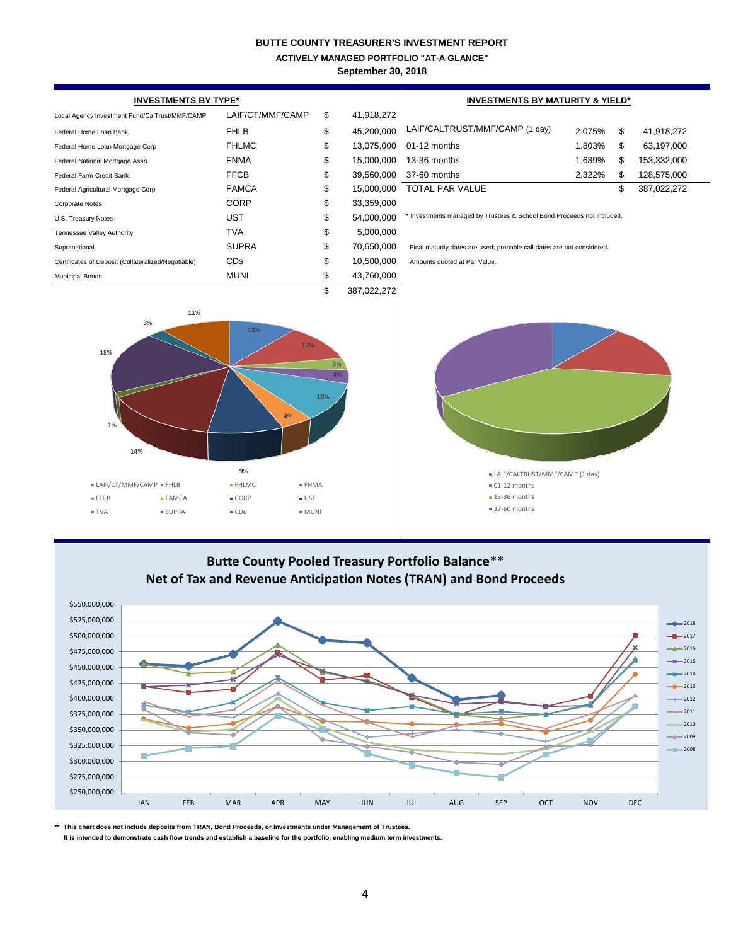**ACTIVELY MANAGED PORTFOLIO "AT-A-GLANCE"**

**September 30, 2018**

| <b>INVESTMENTS BY TYPE*</b>                                                                                                                                                                                                                                                                                                                                                                           |                  |    |             | <b>INVESTMENTS BY MATURITY &amp; YIELD*</b>                            |        |    |             |  |  |
|-------------------------------------------------------------------------------------------------------------------------------------------------------------------------------------------------------------------------------------------------------------------------------------------------------------------------------------------------------------------------------------------------------|------------------|----|-------------|------------------------------------------------------------------------|--------|----|-------------|--|--|
| Local Agency Investment Fund/CalTrust/MMF/CAMP                                                                                                                                                                                                                                                                                                                                                        | LAIF/CT/MMF/CAMP | \$ | 41,918,272  |                                                                        |        |    |             |  |  |
| Federal Home Loan Bank                                                                                                                                                                                                                                                                                                                                                                                | <b>FHLB</b>      | \$ | 45,200,000  | LAIF/CALTRUST/MMF/CAMP (1 day)                                         | 2.075% | \$ | 41,918,272  |  |  |
| Federal Home Loan Mortgage Corp                                                                                                                                                                                                                                                                                                                                                                       | <b>FHLMC</b>     | \$ | 13,075,000  | 01-12 months                                                           | 1.803% | \$ | 63,197,000  |  |  |
| Federal National Mortgage Assn                                                                                                                                                                                                                                                                                                                                                                        | <b>FNMA</b>      | \$ | 15,000,000  | 13-36 months                                                           | 1.689% | \$ | 153,332,000 |  |  |
| Federal Farm Credit Bank                                                                                                                                                                                                                                                                                                                                                                              | <b>FFCB</b>      | \$ | 39,560,000  | 37-60 months                                                           | 2.322% | \$ | 128,575,000 |  |  |
| Federal Agricultural Mortgage Corp                                                                                                                                                                                                                                                                                                                                                                    | <b>FAMCA</b>     | \$ | 15,000,000  | <b>TOTAL PAR VALUE</b>                                                 |        | \$ | 387,022,272 |  |  |
| <b>Corporate Notes</b>                                                                                                                                                                                                                                                                                                                                                                                | <b>CORP</b>      | \$ | 33,359,000  |                                                                        |        |    |             |  |  |
| U.S. Treasury Notes                                                                                                                                                                                                                                                                                                                                                                                   | <b>UST</b>       | \$ | 54,000,000  | * Investments managed by Trustees & School Bond Proceeds not included. |        |    |             |  |  |
| Tennessee Valley Authority                                                                                                                                                                                                                                                                                                                                                                            | <b>TVA</b>       | \$ | 5,000,000   |                                                                        |        |    |             |  |  |
| Supranational                                                                                                                                                                                                                                                                                                                                                                                         | <b>SUPRA</b>     | \$ | 70,650,000  | Final maturity dates are used; probable call dates are not considered. |        |    |             |  |  |
| Certificates of Deposit (Collateralized/Negotiable)                                                                                                                                                                                                                                                                                                                                                   | CDs              | \$ | 10,500,000  | Amounts quoted at Par Value.                                           |        |    |             |  |  |
| <b>Municipal Bonds</b>                                                                                                                                                                                                                                                                                                                                                                                | <b>MUNI</b>      | \$ | 43,760,000  |                                                                        |        |    |             |  |  |
|                                                                                                                                                                                                                                                                                                                                                                                                       |                  | \$ | 387,022,272 |                                                                        |        |    |             |  |  |
| 11%<br>12%<br>18%<br>3%<br>4%<br>10%<br>4%<br>1%<br>14%<br>9%<br>• LAIF/CALTRUST/MMF/CAMP (1 day)<br>• LAIF/CT/MMF/CAMP • FHLB<br>• FHLMC<br>$-FNMA$<br>$\bullet$ 01-12 months<br>$\blacksquare$ 13-36 months<br>• CORP<br>$\bullet$ UST<br>■ FFCB<br>• FAMCA<br>• 37-60 months<br><b>SUPRA</b><br>$\bullet$ CDs<br><b>TVA</b><br>$-MUNI$                                                             |                  |    |             |                                                                        |        |    |             |  |  |
| Butte County Pooled Treasury Portfolio Balance**<br>Net of Tax and Revenue Anticipation Notes (TRAN) and Bond Proceeds<br>\$550,000,000<br>\$525,000,000<br>$-2018$<br>\$500,000,000<br>$-2017$<br>2016<br>\$475,000,000<br>$-$ <b>*</b> 2015<br>\$450,000,000<br>$-$ 2014<br>\$425,000,000<br>$ -$ 2013<br>\$400,000,000<br>$\longrightarrow$ 2012<br>2011<br>\$375,000,000<br>2010<br>\$350,000,000 |                  |    |             |                                                                        |        |    |             |  |  |

**\*\* This chart does not include deposits from TRAN, Bond Proceeds, or Investments under Management of Trustees.**

\$250,000,000 \$275,000,000 \$300,000,000 \$325,000,000

 **It is intended to demonstrate cash flow trends and establish a baseline for the portfolio, enabling medium term investments.**

JAN FEB MAR APR MAY JUN JUL AUG SEP OCT NOV DEC

O

2008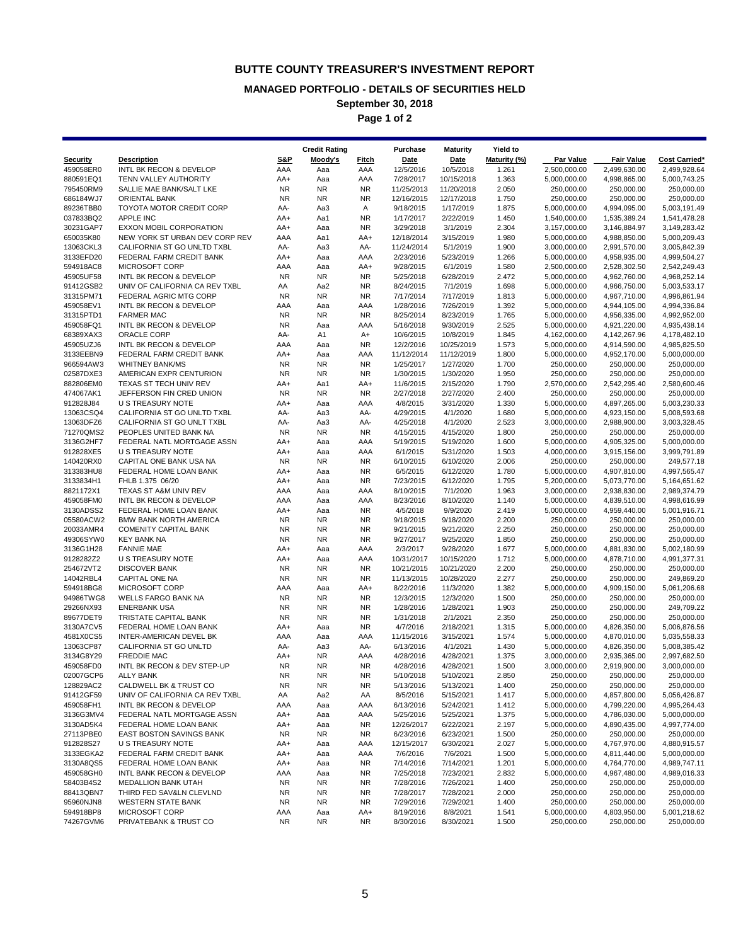#### **MANAGED PORTFOLIO - DETAILS OF SECURITIES HELD**

**September 30, 2018**

**Page 1 of 2**

|                        |                                                           |                  | <b>Credit Rating</b>   |                  | Purchase                 | <b>Maturity</b>          | Yield to       |                              |                              |                              |
|------------------------|-----------------------------------------------------------|------------------|------------------------|------------------|--------------------------|--------------------------|----------------|------------------------------|------------------------------|------------------------------|
| Security               | <b>Description</b>                                        | <b>S&amp;P</b>   | Moody's                | <b>Fitch</b>     | <b>Date</b>              | Date                     | Maturity (%)   | Par Value                    | <b>Fair Value</b>            | <b>Cost Carried*</b>         |
| 459058ER0              | INTL BK RECON & DEVELOP                                   | AAA              | Aaa                    | AAA              | 12/5/2016                | 10/5/2018                | 1.261          | 2,500,000.00                 | 2,499,630.00                 | 2,499,928.64                 |
| 880591EQ1<br>795450RM9 | TENN VALLEY AUTHORITY<br>SALLIE MAE BANK/SALT LKE         | AA+<br><b>NR</b> | Aaa                    | AAA<br><b>NR</b> | 7/28/2017                | 10/15/2018               | 1.363          | 5,000,000.00                 | 4,998,865.00<br>250,000.00   | 5,000,743.25<br>250,000.00   |
| 686184WJ7              | <b>ORIENTAL BANK</b>                                      | <b>NR</b>        | <b>NR</b><br><b>NR</b> | <b>NR</b>        | 11/25/2013<br>12/16/2015 | 11/20/2018<br>12/17/2018 | 2.050<br>1.750 | 250,000.00<br>250,000.00     | 250,000.00                   | 250,000.00                   |
| 89236TBB0              | <b>TOYOTA MOTOR CREDIT CORP</b>                           | AA-              | Aa3                    | Α                | 9/18/2015                | 1/17/2019                | 1.875          | 5,000,000.00                 | 4,994,095.00                 | 5,003,191.49                 |
| 037833BQ2              | APPLE INC                                                 | AA+              | Aa1                    | <b>NR</b>        | 1/17/2017                | 2/22/2019                | 1.450          | 1,540,000.00                 | 1,535,389.24                 | 1,541,478.28                 |
| 30231GAP7              | EXXON MOBIL CORPORATION                                   | AA+              | Aaa                    | <b>NR</b>        | 3/29/2018                | 3/1/2019                 | 2.304          | 3,157,000.00                 | 3,146,884.97                 | 3,149,283.42                 |
| 650035K80              | NEW YORK ST URBAN DEV CORP REV                            | AAA              | Aa1                    | AA+              | 12/18/2014               | 3/15/2019                | 1.980          | 5,000,000.00                 | 4,988,850.00                 | 5,000,209.43                 |
| 13063CKL3              | CALIFORNIA ST GO UNLTD TXBL                               | AA-              | Aa3                    | AA-              | 11/24/2014               | 5/1/2019                 | 1.900          | 3,000,000.00                 | 2,991,570.00                 | 3,005,842.39                 |
| 3133EFD20<br>594918AC8 | FEDERAL FARM CREDIT BANK<br>MICROSOFT CORP                | AA+<br>AAA       | Aaa<br>Aaa             | AAA<br>AA+       | 2/23/2016<br>9/28/2015   | 5/23/2019<br>6/1/2019    | 1.266<br>1.580 | 5,000,000.00<br>2,500,000.00 | 4,958,935.00<br>2,528,302.50 | 4,999,504.27<br>2,542,249.43 |
| 45905UF58              | INTL BK RECON & DEVELOP                                   | <b>NR</b>        | <b>NR</b>              | <b>NR</b>        | 5/25/2018                | 6/28/2019                | 2.472          | 5,000,000.00                 | 4,962,760.00                 | 4,968,252.14                 |
| 91412GSB2              | UNIV OF CALIFORNIA CA REV TXBL                            | AA               | Aa2                    | <b>NR</b>        | 8/24/2015                | 7/1/2019                 | 1.698          | 5,000,000.00                 | 4,966,750.00                 | 5,003,533.17                 |
| 31315PM71              | FEDERAL AGRIC MTG CORP                                    | <b>NR</b>        | <b>NR</b>              | <b>NR</b>        | 7/17/2014                | 7/17/2019                | 1.813          | 5,000,000.00                 | 4,967,710.00                 | 4,996,861.94                 |
| 459058EV1              | INTL BK RECON & DEVELOP                                   | AAA              | Aaa                    | AAA              | 1/28/2016                | 7/26/2019                | 1.392          | 5,000,000.00                 | 4,944,105.00                 | 4,994,336.84                 |
| 31315PTD1              | <b>FARMER MAC</b>                                         | <b>NR</b>        | <b>NR</b>              | <b>NR</b>        | 8/25/2014                | 8/23/2019                | 1.765          | 5,000,000.00                 | 4,956,335.00                 | 4,992,952.00                 |
| 459058FQ1              | INTL BK RECON & DEVELOP                                   | <b>NR</b>        | Aaa                    | AAA              | 5/16/2018                | 9/30/2019                | 2.525          | 5,000,000.00                 | 4,921,220.00                 | 4,935,438.14                 |
| 68389XAX3<br>45905UZJ6 | ORACLE CORP<br>INTL BK RECON & DEVELOP                    | AA-<br>AAA       | A1<br>Aaa              | A+<br><b>NR</b>  | 10/6/2015<br>12/2/2016   | 10/8/2019<br>10/25/2019  | 1.845<br>1.573 | 4,162,000.00<br>5,000,000.00 | 4,142,267.96<br>4,914,590.00 | 4,178,482.10<br>4,985,825.50 |
| 3133EEBN9              | FEDERAL FARM CREDIT BANK                                  | AA+              | Aaa                    | AAA              | 11/12/2014               | 11/12/2019               | 1.800          | 5,000,000.00                 | 4,952,170.00                 | 5,000,000.00                 |
| 966594AW3              | <b>WHITNEY BANK/MS</b>                                    | <b>NR</b>        | <b>NR</b>              | <b>NR</b>        | 1/25/2017                | 1/27/2020                | 1.700          | 250,000.00                   | 250,000.00                   | 250,000.00                   |
| 02587DXE3              | AMERICAN EXPR CENTURION                                   | <b>NR</b>        | <b>NR</b>              | <b>NR</b>        | 1/30/2015                | 1/30/2020                | 1.950          | 250,000.00                   | 250,000.00                   | 250,000.00                   |
| 882806EM0              | TEXAS ST TECH UNIV REV                                    | AA+              | Aa1                    | AA+              | 11/6/2015                | 2/15/2020                | 1.790          | 2,570,000.00                 | 2,542,295.40                 | 2,580,600.46                 |
| 474067AK1              | JEFFERSON FIN CRED UNION                                  | <b>NR</b>        | <b>NR</b>              | <b>NR</b>        | 2/27/2018                | 2/27/2020                | 2.400          | 250,000.00                   | 250,000.00                   | 250,000.00                   |
| 912828J84              | U S TREASURY NOTE                                         | AA+              | Aaa                    | AAA              | 4/8/2015                 | 3/31/2020                | 1.330          | 5,000,000.00                 | 4,897,265.00                 | 5,003,230.33                 |
| 13063CSQ4<br>13063DFZ6 | CALIFORNIA ST GO UNLTD TXBL<br>CALIFORNIA ST GO UNLT TXBL | AA-<br>AA-       | Aa3<br>Aa3             | AA-<br>AA-       | 4/29/2015<br>4/25/2018   | 4/1/2020<br>4/1/2020     | 1.680<br>2.523 | 5,000,000.00<br>3,000,000.00 | 4,923,150.00<br>2,988,900.00 | 5,008,593.68<br>3,003,328.45 |
| 71270QMS2              | PEOPLES UNITED BANK NA                                    | <b>NR</b>        | <b>NR</b>              | <b>NR</b>        | 4/15/2015                | 4/15/2020                | 1.800          | 250,000.00                   | 250,000.00                   | 250,000.00                   |
| 3136G2HF7              | FEDERAL NATL MORTGAGE ASSN                                | AA+              | Aaa                    | AAA              | 5/19/2015                | 5/19/2020                | 1.600          | 5,000,000.00                 | 4,905,325.00                 | 5,000,000.00                 |
| 912828XE5              | <b>U S TREASURY NOTE</b>                                  | AA+              | Aaa                    | AAA              | 6/1/2015                 | 5/31/2020                | 1.503          | 4,000,000.00                 | 3,915,156.00                 | 3,999,791.89                 |
| 140420RX0              | CAPITAL ONE BANK USA NA                                   | <b>NR</b>        | <b>NR</b>              | <b>NR</b>        | 6/10/2015                | 6/10/2020                | 2.006          | 250,000.00                   | 250,000.00                   | 249,577.18                   |
| 313383HU8              | FEDERAL HOME LOAN BANK                                    | AA+              | Aaa                    | <b>NR</b>        | 6/5/2015                 | 6/12/2020                | 1.780          | 5,000,000.00                 | 4,907,810.00                 | 4,997,565.47                 |
| 3133834H1              | FHLB 1.375 06/20                                          | AA+              | Aaa                    | <b>NR</b>        | 7/23/2015                | 6/12/2020                | 1.795          | 5,200,000.00                 | 5,073,770.00                 | 5,164,651.62                 |
| 8821172X1<br>459058FM0 | TEXAS ST A&M UNIV REV<br>INTL BK RECON & DEVELOP          | AAA<br>AAA       | Aaa<br>Aaa             | AAA<br>AAA       | 8/10/2015<br>8/23/2016   | 7/1/2020<br>8/10/2020    | 1.963<br>1.140 | 3,000,000.00<br>5,000,000.00 | 2,938,830.00<br>4,839,510.00 | 2,989,374.79<br>4,998,616.99 |
| 3130ADSS2              | FEDERAL HOME LOAN BANK                                    | AA+              | Aaa                    | <b>NR</b>        | 4/5/2018                 | 9/9/2020                 | 2.419          | 5,000,000.00                 | 4,959,440.00                 | 5,001,916.71                 |
| 05580ACW2              | <b>BMW BANK NORTH AMERICA</b>                             | <b>NR</b>        | <b>NR</b>              | <b>NR</b>        | 9/18/2015                | 9/18/2020                | 2.200          | 250,000.00                   | 250,000.00                   | 250,000.00                   |
| 20033AMR4              | <b>COMENITY CAPITAL BANK</b>                              | <b>NR</b>        | <b>NR</b>              | <b>NR</b>        | 9/21/2015                | 9/21/2020                | 2.250          | 250,000.00                   | 250,000.00                   | 250,000.00                   |
| 49306SYW0              | <b>KEY BANK NA</b>                                        | <b>NR</b>        | <b>NR</b>              | <b>NR</b>        | 9/27/2017                | 9/25/2020                | 1.850          | 250,000.00                   | 250,000.00                   | 250,000.00                   |
| 3136G1H28              | <b>FANNIE MAE</b>                                         | AA+              | Aaa                    | AAA              | 2/3/2017                 | 9/28/2020                | 1.677          | 5,000,000.00                 | 4,881,830.00                 | 5,002,180.99                 |
| 9128282Z2              | U S TREASURY NOTE<br><b>DISCOVER BANK</b>                 | AA+<br><b>NR</b> | Aaa                    | AAA<br><b>NR</b> | 10/31/2017               | 10/15/2020               | 1.712          | 5,000,000.00                 | 4,878,710.00                 | 4,991,377.31                 |
| 254672VT2<br>14042RBL4 | CAPITAL ONE NA                                            | <b>NR</b>        | <b>NR</b><br><b>NR</b> | <b>NR</b>        | 10/21/2015<br>11/13/2015 | 10/21/2020<br>10/28/2020 | 2.200<br>2.277 | 250,000.00<br>250,000.00     | 250,000.00<br>250,000.00     | 250,000.00<br>249,869.20     |
| 594918BG8              | MICROSOFT CORP                                            | AAA              | Aaa                    | AA+              | 8/22/2016                | 11/3/2020                | 1.382          | 5,000,000.00                 | 4,909,150.00                 | 5,061,206.68                 |
| 94986TWG8              | WELLS FARGO BANK NA                                       | <b>NR</b>        | <b>NR</b>              | <b>NR</b>        | 12/3/2015                | 12/3/2020                | 1.500          | 250,000.00                   | 250,000.00                   | 250,000.00                   |
| 29266NX93              | <b>ENERBANK USA</b>                                       | <b>NR</b>        | <b>NR</b>              | <b>NR</b>        | 1/28/2016                | 1/28/2021                | 1.903          | 250,000.00                   | 250,000.00                   | 249,709.22                   |
| 89677DET9              | TRISTATE CAPITAL BANK                                     | <b>NR</b>        | <b>NR</b>              | <b>NR</b>        | 1/31/2018                | 2/1/2021                 | 2.350          | 250,000.00                   | 250,000.00                   | 250,000.00                   |
| 3130A7CV5              | FEDERAL HOME LOAN BANK                                    | AA+              | Aaa                    | <b>NR</b>        | 4/7/2016                 | 2/18/2021                | 1.315          | 5,000,000.00                 | 4,826,350.00                 | 5,006,876.56                 |
| 4581X0CS5<br>13063CP87 | INTER-AMERICAN DEVEL BK<br>CALIFORNIA ST GO UNLTD         | AAA              | Aaa                    | AAA              | 11/15/2016               | 3/15/2021                | 1.574          | 5,000,000.00                 | 4,870,010.00<br>4,826,350.00 | 5,035,558.33<br>5,008,385.42 |
| 3134G8Y29              | <b>FREDDIE MAC</b>                                        | AA-<br>AA+       | Aa3<br><b>NR</b>       | AA-<br>AAA       | 6/13/2016<br>4/28/2016   | 4/1/2021<br>4/28/2021    | 1.430<br>1.375 | 5,000,000.00<br>3,000,000.00 | 2,935,365.00                 | 2,997,682.50                 |
| 459058FD0              | INTL BK RECON & DEV STEP-UP                               | <b>NR</b>        | <b>NR</b>              | <b>NR</b>        | 4/28/2016                | 4/28/2021                | 1.500          | 3,000,000.00                 | 2,919,900.00                 | 3,000,000.00                 |
| 02007GCP6              | ALLY BANK                                                 | <b>NR</b>        | NR                     | <b>NR</b>        | 5/10/2018                | 5/10/2021                | 2.850          | 250,000.00                   | 250,000.00                   | 250,000.00                   |
| 128829AC2              | CALDWELL BK & TRUST CO                                    | <b>NR</b>        | <b>NR</b>              | NR.              | 5/13/2016                | 5/13/2021                | 1.400          | 250,000.00                   | 250,000.00                   | 250,000.00                   |
| 91412GF59              | UNIV OF CALIFORNIA CA REV TXBL                            | AA               | Aa2                    | AA               | 8/5/2016                 | 5/15/2021                | 1.417          | 5,000,000.00                 | 4,857,800.00                 | 5,056,426.87                 |
| 459058FH1              | INTL BK RECON & DEVELOP                                   | AAA              | Aaa                    | AAA              | 6/13/2016                | 5/24/2021                | 1.412          | 5,000,000.00                 | 4,799,220.00                 | 4,995,264.43                 |
| 3136G3MV4<br>3130AD5K4 | FEDERAL NATL MORTGAGE ASSN                                | AA+              | Aaa                    | AAA              | 5/25/2016                | 5/25/2021                | 1.375          | 5,000,000.00<br>5,000,000.00 | 4,786,030.00                 | 5,000,000.00                 |
| 27113PBE0              | FEDERAL HOME LOAN BANK<br>EAST BOSTON SAVINGS BANK        | AA+<br><b>NR</b> | Aaa<br><b>NR</b>       | NR.<br>NR.       | 12/26/2017<br>6/23/2016  | 6/22/2021<br>6/23/2021   | 2.197<br>1.500 | 250,000.00                   | 4,890,435.00<br>250,000.00   | 4,997,774.00<br>250,000.00   |
| 912828S27              | U S TREASURY NOTE                                         | AA+              | Aaa                    | AAA              | 12/15/2017               | 6/30/2021                | 2.027          | 5,000,000.00                 | 4,767,970.00                 | 4,880,915.57                 |
| 3133EGKA2              | FEDERAL FARM CREDIT BANK                                  | AA+              | Aaa                    | AAA              | 7/6/2016                 | 7/6/2021                 | 1.500          | 5,000,000.00                 | 4,811,440.00                 | 5,000,000.00                 |
| 3130A8QS5              | FEDERAL HOME LOAN BANK                                    | AA+              | Aaa                    | NR.              | 7/14/2016                | 7/14/2021                | 1.201          | 5,000,000.00                 | 4,764,770.00                 | 4,989,747.11                 |
| 459058GH0              | INTL BANK RECON & DEVELOP                                 | AAA              | Aaa                    | NR.              | 7/25/2018                | 7/23/2021                | 2.832          | 5,000,000.00                 | 4,967,480.00                 | 4,989,016.33                 |
| 58403B4S2              | MEDALLION BANK UTAH                                       | <b>NR</b>        | <b>NR</b>              | NR.              | 7/28/2016                | 7/26/2021                | 1.400          | 250,000.00                   | 250,000.00                   | 250,000.00                   |
| 88413QBN7              | THIRD FED SAV&LN CLEVLND                                  | <b>NR</b>        | <b>NR</b>              | NR.              | 7/28/2017                | 7/28/2021                | 2.000          | 250,000.00                   | 250,000.00                   | 250,000.00                   |
| 95960NJN8<br>594918BP8 | <b>WESTERN STATE BANK</b><br>MICROSOFT CORP               | <b>NR</b><br>AAA | NR.<br>Aaa             | NR.<br>AA+       | 7/29/2016<br>8/19/2016   | 7/29/2021<br>8/8/2021    | 1.400<br>1.541 | 250,000.00<br>5,000,000.00   | 250,000.00<br>4,803,950.00   | 250,000.00<br>5,001,218.62   |
| 74267GVM6              | PRIVATEBANK & TRUST CO                                    | <b>NR</b>        | <b>NR</b>              | <b>NR</b>        | 8/30/2016                | 8/30/2021                | 1.500          | 250,000.00                   | 250,000.00                   | 250,000.00                   |